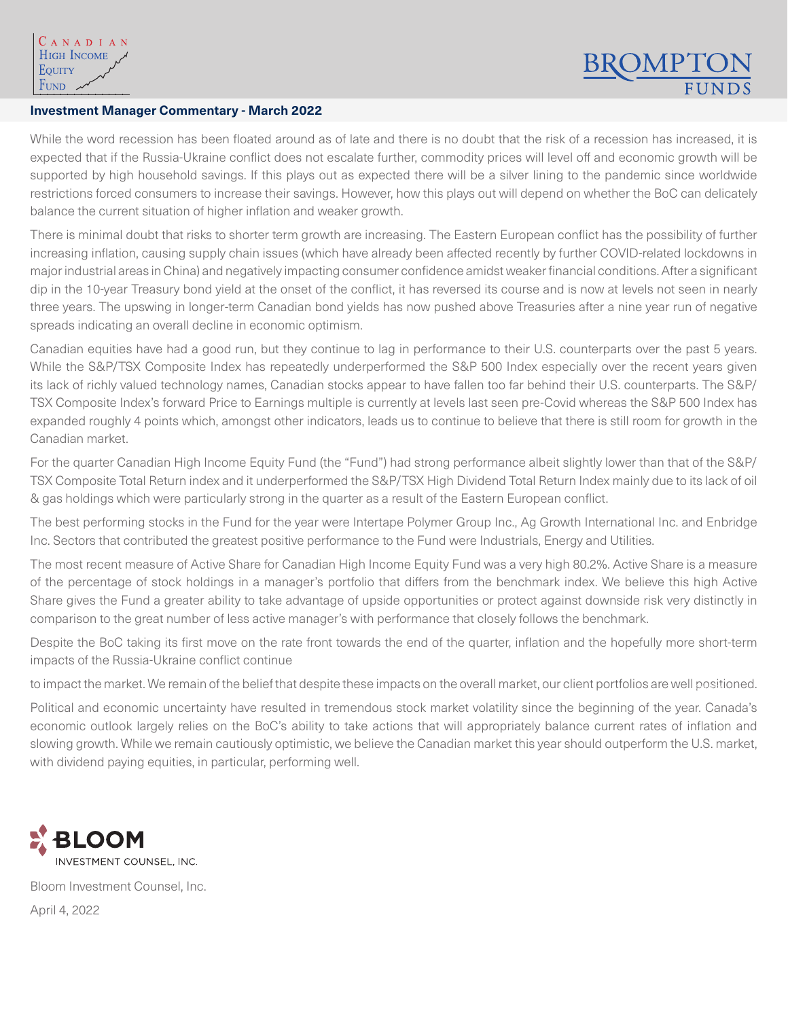## **Investment Manager Commentary - March 2022**

While the word recession has been floated around as of late and there is no doubt that the risk of a recession has increased, it is expected that if the Russia-Ukraine conflict does not escalate further, commodity prices will level off and economic growth will be supported by high household savings. If this plays out as expected there will be a silver lining to the pandemic since worldwide restrictions forced consumers to increase their savings. However, how this plays out will depend on whether the BoC can delicately balance the current situation of higher inflation and weaker growth.

There is minimal doubt that risks to shorter term growth are increasing. The Eastern European conflict has the possibility of further increasing inflation, causing supply chain issues (which have already been affected recently by further COVID-related lockdowns in major industrial areas in China) and negatively impacting consumer confidence amidst weaker financial conditions. After a significant dip in the 10-year Treasury bond yield at the onset of the conflict, it has reversed its course and is now at levels not seen in nearly three years. The upswing in longer-term Canadian bond yields has now pushed above Treasuries after a nine year run of negative spreads indicating an overall decline in economic optimism.

Canadian equities have had a good run, but they continue to lag in performance to their U.S. counterparts over the past 5 years. While the S&P/TSX Composite Index has repeatedly underperformed the S&P 500 Index especially over the recent years given its lack of richly valued technology names, Canadian stocks appear to have fallen too far behind their U.S. counterparts. The S&P/ TSX Composite Index's forward Price to Earnings multiple is currently at levels last seen pre-Covid whereas the S&P 500 Index has expanded roughly 4 points which, amongst other indicators, leads us to continue to believe that there is still room for growth in the Canadian market.

For the quarter Canadian High Income Equity Fund (the "Fund") had strong performance albeit slightly lower than that of the S&P/ TSX Composite Total Return index and it underperformed the S&P/TSX High Dividend Total Return Index mainly due to its lack of oil & gas holdings which were particularly strong in the quarter as a result of the Eastern European conflict.

The best performing stocks in the Fund for the year were Intertape Polymer Group Inc., Ag Growth International Inc. and Enbridge Inc. Sectors that contributed the greatest positive performance to the Fund were Industrials, Energy and Utilities.

The most recent measure of Active Share for Canadian High Income Equity Fund was a very high 80.2%. Active Share is a measure of the percentage of stock holdings in a manager's portfolio that differs from the benchmark index. We believe this high Active Share gives the Fund a greater ability to take advantage of upside opportunities or protect against downside risk very distinctly in comparison to the great number of less active manager's with performance that closely follows the benchmark.

Despite the BoC taking its first move on the rate front towards the end of the quarter, inflation and the hopefully more short-term impacts of the Russia-Ukraine conflict continue

to impact the market. We remain of the belief that despite these impacts on the overall market, our client portfolios are well positioned.<br> Telecomm posit

Political and economic uncertainty have resulted in tremendous stock market volatility since the beginning of the year. Canada's economic outlook largely relies on the BoC's ability to take actions that will appropriately balance current rates of inflation and slowing growth. While we remain cautiously optimistic, we believe the Canadian market this year should outperform the U.S. market, with dividend paying equities, in particular, performing well.



Bloom Investment Counsel, Inc. April 4, 2022